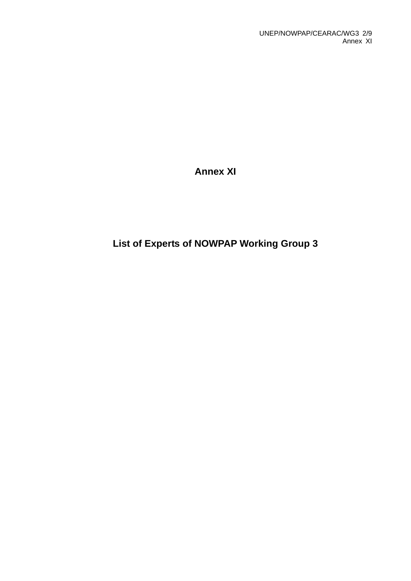**Annex XI** 

# **List of Experts of NOWPAP Working Group 3**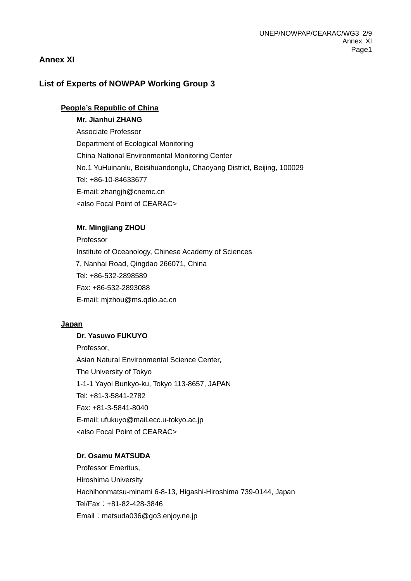# **Annex XI**

# **List of Experts of NOWPAP Working Group 3**

## **People's Republic of China**

#### **Mr. Jianhui ZHANG**

Associate Professor Department of Ecological Monitoring China National Environmental Monitoring Center No.1 YuHuinanlu, Beisihuandonglu, Chaoyang District, Beijing, 100029 Tel: +86-10-84633677 E-mail: zhangjh@cnemc.cn <also Focal Point of CEARAC>

#### **Mr. Mingjiang ZHOU**

Professor Institute of Oceanology, Chinese Academy of Sciences 7, Nanhai Road, Qingdao 266071, China Tel: +86-532-2898589 Fax: +86-532-2893088 E-mail: mjzhou@ms.qdio.ac.cn

#### **Japan**

# **Dr. Yasuwo FUKUYO**

Professor, Asian Natural Environmental Science Center, The University of Tokyo 1-1-1 Yayoi Bunkyo-ku, Tokyo 113-8657, JAPAN Tel: +81-3-5841-2782 Fax: +81-3-5841-8040 E-mail: [ufukuyo@mail.ecc.u-tokyo.ac.jp](mailto:ufukuyo@mail.ecc.u-tokyo.ac.jp) <also Focal Point of CEARAC>

#### **Dr. Osamu MATSUDA**

Professor Emeritus, Hiroshima University Hachihonmatsu-minami 6-8-13, Higashi-Hiroshima 739-0144, Japan Tel/Fax:+81-82-428-3846 Email: [matsuda036@go3.enjoy.ne.jp](mailto:matsuda036@go3.enjoy.ne.jp)